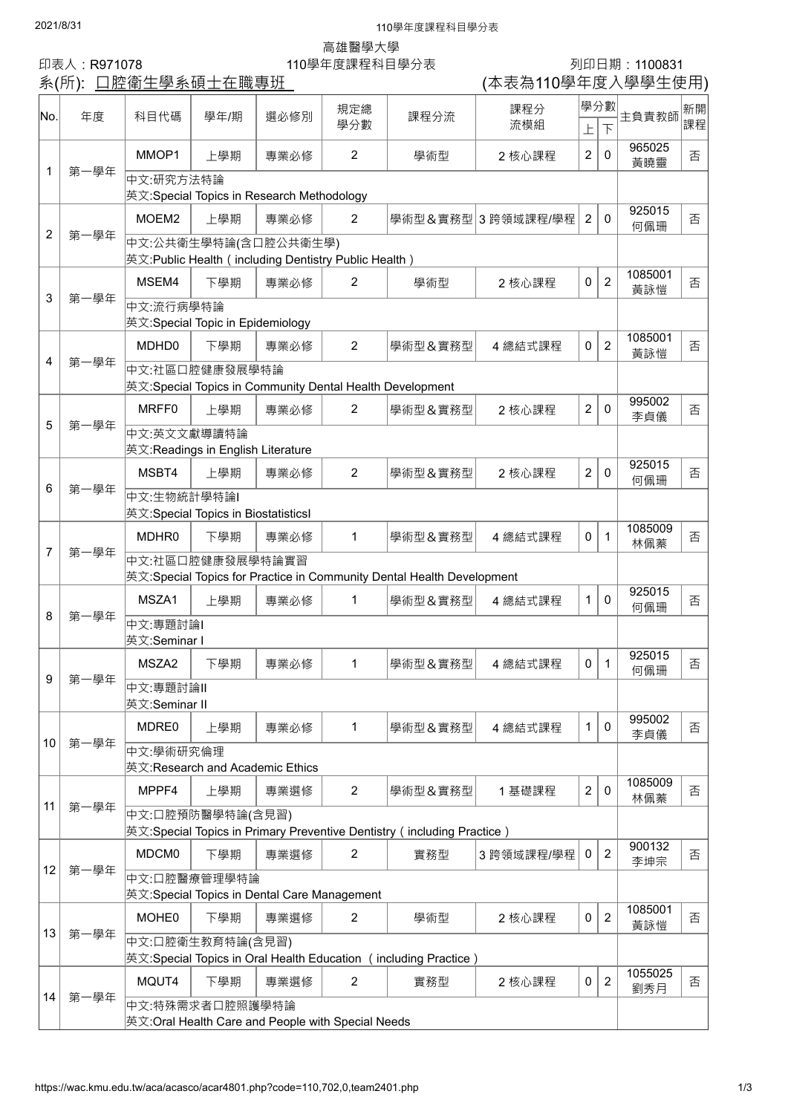## **2021/8/31** 110學年度課程科目學分表

高雄醫學大學

印表人:R971078 110學年度課程科目學分表 列印日期:1100831

(本表為110學年度入學學生使用)

|                | 示(アノl ).  | <u> 口肛闸工字尔呎工工嘅寺儿</u>                                                                       |                                                             |      |                |         | 平仪冊 I IV字十反八字字工仄用  |                |                       |                |          |  |
|----------------|-----------|--------------------------------------------------------------------------------------------|-------------------------------------------------------------|------|----------------|---------|--------------------|----------------|-----------------------|----------------|----------|--|
| No.            | 年度        | 科目代碼                                                                                       | 學年/期                                                        | 選必修別 | 規定總<br>學分數     | 課程分流    | 課程分<br>流模組         | 上              | 學分數<br>$\overline{F}$ | 主負責教師          | 新開<br>課程 |  |
| 1              | 第一學年      | MMOP1                                                                                      | 上學期                                                         | 專業必修 | $\overline{2}$ | 學術型     | 2 核心課程             | $\overline{2}$ | 0                     | 965025<br>黃曉靈  | 否        |  |
|                |           | 中文:研究方法特論<br> 英文:Special Topics in Research Methodology                                    |                                                             |      |                |         |                    |                |                       |                |          |  |
| $\overline{2}$ |           | MOEM <sub>2</sub>                                                                          | 上學期                                                         | 專業必修 | $\overline{2}$ |         | 學術型&實務型 3 跨領域課程/學程 | $\overline{2}$ | $\mathbf{0}$          | 925015<br>何佩珊  | 否        |  |
|                | 第一學年      | 中文:公共衛生學特論(含口腔公共衛生學)<br> 英文:Public Health(including Dentistry Public Health)               |                                                             |      |                |         |                    |                |                       |                |          |  |
| 3              | 第一學年      | MSEM4                                                                                      | 下學期                                                         | 專業必修 | $\overline{2}$ | 學術型     | 2 核心課程             | 0              | $\overline{2}$        | 1085001<br>黃詠愷 | 否        |  |
|                |           | 中文:流行病學特論<br>英文:Special Topic in Epidemiology                                              |                                                             |      |                |         |                    |                |                       |                |          |  |
| 4              | 第一學年      | MDHD0                                                                                      | 下學期                                                         | 專業必修 | $\overline{2}$ | 學術型&實務型 | 4 總結式課程            | 0              | $\overline{2}$        | 1085001<br>黃詠愷 | 否        |  |
|                |           | 中文:社區口腔健康發展學特論<br>英文:Special Topics in Community Dental Health Development                 |                                                             |      |                |         |                    |                |                       |                |          |  |
| 5              |           | MRFF0                                                                                      | 上學期                                                         | 專業必修 | $\overline{2}$ | 學術型&實務型 | 2 核心課程             | $\overline{2}$ | $\mathbf{0}$          | 995002<br>李貞儀  | 否        |  |
|                | 第一學年      | 中文:英文文獻導讀特論<br>英文:Readings in English Literature                                           |                                                             |      |                |         |                    |                |                       |                |          |  |
| 6              |           | MSBT4                                                                                      | 上學期                                                         | 專業必修 | $\overline{2}$ | 學術型&實務型 | 2 核心課程             | $\overline{2}$ | $\mathbf{0}$          | 925015<br>何佩珊  | 否        |  |
|                | 第一學年      | 中文:生物統計學特論                                                                                 | 英文:Special Topics in BiostatisticsI                         |      |                |         |                    |                |                       |                |          |  |
| 7              | 第一學年      | MDHR0                                                                                      | 下學期                                                         | 專業必修 | 1              | 學術型&實務型 | 4 總結式課程            | 0              | $\mathbf{1}$          | 1085009<br>林佩蓁 | 否        |  |
|                |           | 中文:社區口腔健康發展學特論實習<br>英文:Special Topics for Practice in Community Dental Health Development  |                                                             |      |                |         |                    |                |                       |                |          |  |
| 8              | 第一學年      | MSZA1                                                                                      | 上學期                                                         | 專業必修 | 1              | 學術型&實務型 | 4 總結式課程            | 1              | $\mathbf{0}$          | 925015<br>何佩珊  | 否        |  |
|                |           | 中文:專題討論 <br> 英文:Seminar I                                                                  |                                                             |      |                |         |                    |                |                       |                |          |  |
|                | -學年<br>第- | MSZA2                                                                                      | 下學期                                                         | 專業必修 | 1              | 學術型&實務型 | 4 總結式課程            | 0              | $\mathbf{1}$          | 925015<br>何佩珊  | 否        |  |
| 9              |           | 中文:專題討論Ⅱ<br>英文:Seminar II                                                                  |                                                             |      |                |         |                    |                |                       |                |          |  |
|                |           | MDRE0                                                                                      | 上學期                                                         | 專業必修 | 1              | 學術型&實務型 | 4 總結式課程            | $\mathbf{1}$   | $\mathbf 0$           | 995002<br>李貞儀  | 否        |  |
| 10             | 第一學年      | 中文:學術研究倫理<br>英文:Research and Academic Ethics                                               |                                                             |      |                |         |                    |                |                       |                |          |  |
| 11             | 第一學年      | MPPF4                                                                                      | 上學期                                                         | 專業選修 | $\overline{2}$ | 學術型&實務型 | 1基礎課程              | $\overline{2}$ | $\mathbf 0$           | 1085009<br>林佩蓁 | 否        |  |
|                |           | 中文:口腔預防醫學特論(含見習)<br> 英文:Special Topics in Primary Preventive Dentistry(including Practice) |                                                             |      |                |         |                    |                |                       |                |          |  |
| 12             |           | MDCM0                                                                                      | 下學期                                                         | 專業選修 | $\overline{2}$ | 實務型     | 3 跨領域課程/學程         | 0              | $\overline{2}$        | 900132<br>李坤宗  | 否        |  |
|                | 第一學年      |                                                                                            | 中文:口腔醫療管理學特論<br>英文:Special Topics in Dental Care Management |      |                |         |                    |                |                       |                |          |  |
| 13             |           | <b>MOHE0</b>                                                                               | 下學期                                                         | 專業選修 | $\overline{2}$ | 學術型     | 2 核心課程             | 0              | $\overline{2}$        | 1085001<br>黃詠愷 | 否        |  |
|                | 第一學年      | 中文:口腔衛生教育特論(含見習)<br> 英文:Special Topics in Oral Health Education (including Practice)       |                                                             |      |                |         |                    |                |                       |                |          |  |
| 14             |           | MQUT4                                                                                      | 下學期                                                         | 專業選修 | $\overline{2}$ | 實務型     | 2 核心課程             | 0              | $\overline{2}$        | 1055025<br>劉秀月 | 否        |  |
|                | 第一學年      | 英文:Oral Health Care and People with Special Needs                                          | 中文:特殊需求者口腔照護學特論                                             |      |                |         |                    |                |                       |                |          |  |
|                |           |                                                                                            |                                                             |      |                |         |                    |                |                       |                |          |  |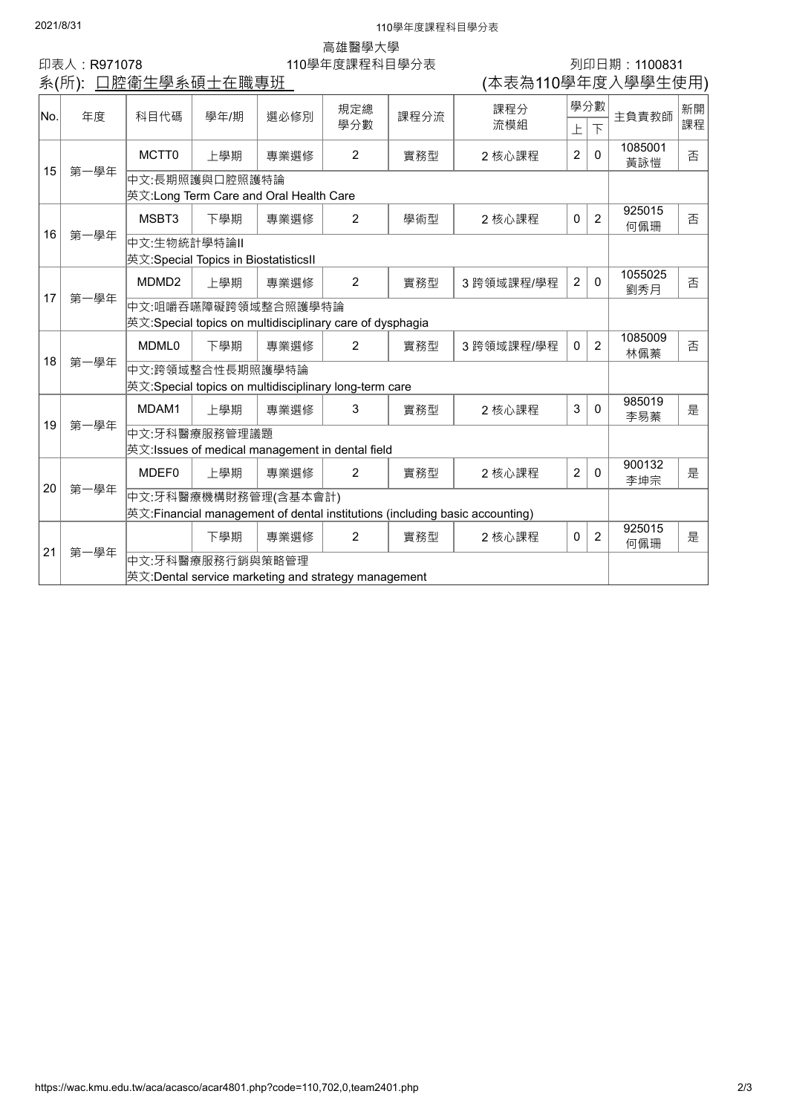## **2021/8/31** 110學年度課程科目學分表

高雄醫學大學

印表人 : R971078 20 110學年度課程科目學分表 20 110學 1109831<br>第(所):口腔衛生學系碩士在職專班 20 110學年度課程科目學分表 20 12 12 12 12 12 14 15 14 15 14 15 14 15 16 1

| 系(所): 口腔衛生學系碩士在職專班 |      |                                                                                                     |      |      |                |      |            |                |                | (本表為110學年度入學學生使用) |    |  |  |
|--------------------|------|-----------------------------------------------------------------------------------------------------|------|------|----------------|------|------------|----------------|----------------|-------------------|----|--|--|
| lNo.               |      |                                                                                                     |      | 選必修別 | 規定總<br>學分數     | 課程分流 | 課程分        | 學分數            |                |                   | 新開 |  |  |
|                    | 年度   | 科目代碼                                                                                                | 學年/期 |      |                |      | 流模組        | 上              | $\overline{F}$ | 主負責教師             | 課程 |  |  |
| 15                 | 第一學年 | MCTT <sub>0</sub>                                                                                   | ト學期  | 專業選修 | $\overline{2}$ | 實務型  | 2 核心課程     | 2              | $\mathbf{0}$   | 1085001<br>黃詠愷    | 否  |  |  |
|                    |      | 中文:長期照護與口腔照護特論<br> 英文:Long Term Care and Oral Health Care                                           |      |      |                |      |            |                |                |                   |    |  |  |
| 16                 | 第一學年 | MSBT3                                                                                               | 下壆期  | 專業選修 | 2              | 學術型  | 2 核心課程     | $\mathbf 0$    | $\overline{2}$ | 925015<br>何佩珊     | 否  |  |  |
|                    |      | 中文:生物統計學特論Ⅱ<br> 英文:Special Topics in BiostatisticsII                                                |      |      |                |      |            |                |                |                   |    |  |  |
| 17                 | 第一學年 | MDMD <sub>2</sub>                                                                                   | 上學期  | 專業選修 | $\overline{2}$ | 實務型  | 3 跨領域課程/學程 | $\overline{2}$ | $\mathbf 0$    | 1055025<br>劉秀月    | 否  |  |  |
|                    |      | 中文:咀嚼吞嚥障礙跨領域整合照護學特論<br> 英文:Special topics on multidisciplinary care of dysphagia                    |      |      |                |      |            |                |                |                   |    |  |  |
|                    | 第一學年 | MDML <sub>0</sub>                                                                                   | 下學期  | 專業選修 | 2              | 實務型  | 3 跨領域課程/學程 | $\mathbf 0$    | $\overline{2}$ | 1085009<br>林佩蓁    | 否  |  |  |
| 18                 |      | 中文:跨領域整合性長期照護學特論<br> 英文:Special topics on multidisciplinary long-term care                          |      |      |                |      |            |                |                |                   |    |  |  |
| 19                 |      | MDAM1                                                                                               | ト學期  | 專業選修 | 3              | 實務型  | 2 核心課程     | 3              | $\mathbf{0}$   | 985019<br>李易蓁     | 是  |  |  |
|                    | 第一學年 | 中文:牙科醫療服務管理議題<br> 英文:Issues of medical management in dental field                                   |      |      |                |      |            |                |                |                   |    |  |  |
| 20                 | 第一學年 | MDEF0                                                                                               | 上學期  | 專業選修 | $\overline{2}$ | 實務型  | 2 核心課程     | $\overline{2}$ | $\mathbf{0}$   | 900132<br>李坤宗     | 是  |  |  |
|                    |      | 中文:牙科醫療機構財務管理(含基本會計)<br>英文:Financial management of dental institutions (including basic accounting) |      |      |                |      |            |                |                |                   |    |  |  |
| 21                 |      |                                                                                                     | 下學期  | 專業選修 | 2              | 實務型  | 2 核心課程     | $\mathbf 0$    | $\overline{2}$ | 925015<br>何佩珊     | 是  |  |  |
|                    | 第一學年 | 中文:牙科醫療服務行銷與策略管理                                                                                    |      |      |                |      |            |                |                |                   |    |  |  |
|                    |      | 英文:Dental service marketing and strategy management                                                 |      |      |                |      |            |                |                |                   |    |  |  |